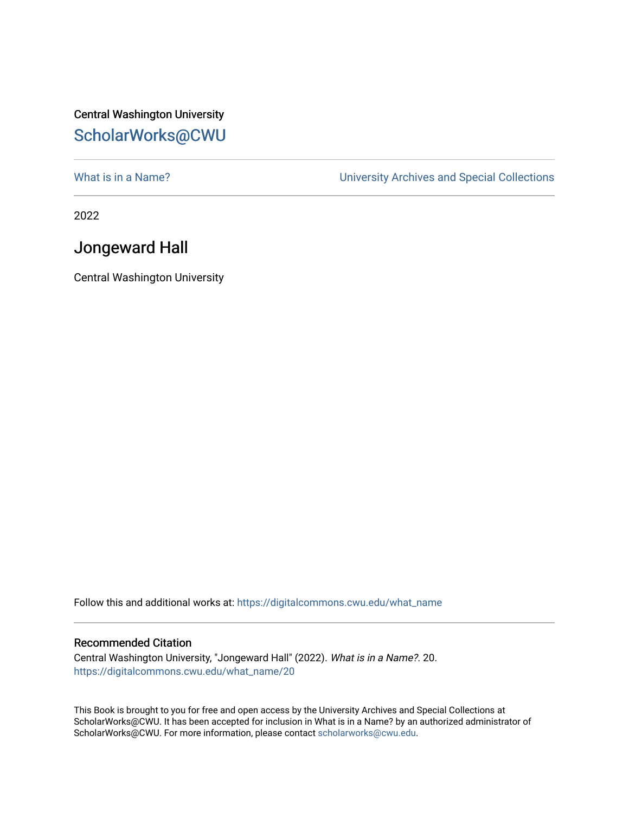## Central Washington University [ScholarWorks@CWU](https://digitalcommons.cwu.edu/)

What is in a Name?<br>
University Archives and Special Collections

2022

## Jongeward Hall

Central Washington University

Follow this and additional works at: [https://digitalcommons.cwu.edu/what\\_name](https://digitalcommons.cwu.edu/what_name?utm_source=digitalcommons.cwu.edu%2Fwhat_name%2F20&utm_medium=PDF&utm_campaign=PDFCoverPages) 

## Recommended Citation

Central Washington University, "Jongeward Hall" (2022). What is in a Name?. 20. [https://digitalcommons.cwu.edu/what\\_name/20](https://digitalcommons.cwu.edu/what_name/20?utm_source=digitalcommons.cwu.edu%2Fwhat_name%2F20&utm_medium=PDF&utm_campaign=PDFCoverPages) 

This Book is brought to you for free and open access by the University Archives and Special Collections at ScholarWorks@CWU. It has been accepted for inclusion in What is in a Name? by an authorized administrator of ScholarWorks@CWU. For more information, please contact [scholarworks@cwu.edu](mailto:scholarworks@cwu.edu).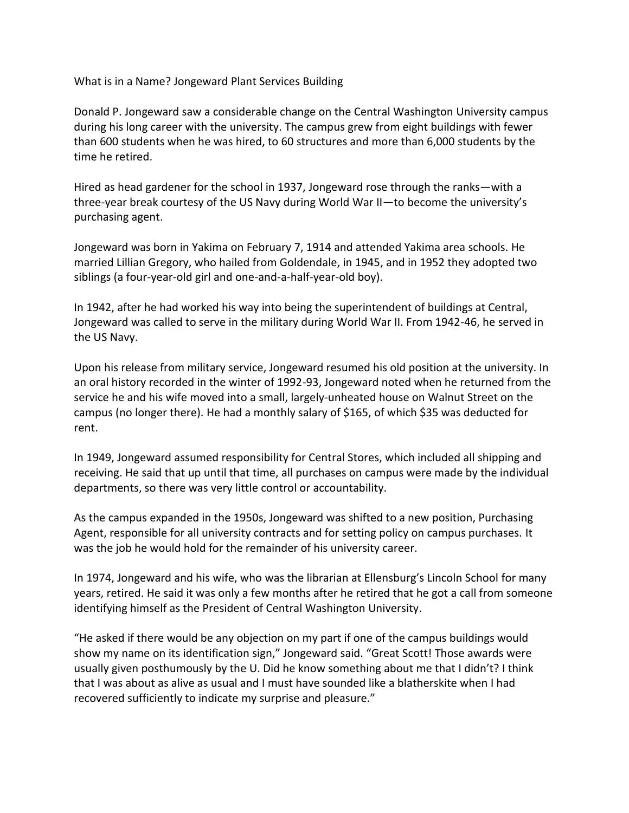What is in a Name? Jongeward Plant Services Building

Donald P. Jongeward saw a considerable change on the Central Washington University campus during his long career with the university. The campus grew from eight buildings with fewer than 600 students when he was hired, to 60 structures and more than 6,000 students by the time he retired.

Hired as head gardener for the school in 1937, Jongeward rose through the ranks—with a three-year break courtesy of the US Navy during World War II—to become the university's purchasing agent.

Jongeward was born in Yakima on February 7, 1914 and attended Yakima area schools. He married Lillian Gregory, who hailed from Goldendale, in 1945, and in 1952 they adopted two siblings (a four-year-old girl and one-and-a-half-year-old boy).

In 1942, after he had worked his way into being the superintendent of buildings at Central, Jongeward was called to serve in the military during World War II. From 1942-46, he served in the US Navy.

Upon his release from military service, Jongeward resumed his old position at the university. In an oral history recorded in the winter of 1992-93, Jongeward noted when he returned from the service he and his wife moved into a small, largely-unheated house on Walnut Street on the campus (no longer there). He had a monthly salary of \$165, of which \$35 was deducted for rent.

In 1949, Jongeward assumed responsibility for Central Stores, which included all shipping and receiving. He said that up until that time, all purchases on campus were made by the individual departments, so there was very little control or accountability.

As the campus expanded in the 1950s, Jongeward was shifted to a new position, Purchasing Agent, responsible for all university contracts and for setting policy on campus purchases. It was the job he would hold for the remainder of his university career.

In 1974, Jongeward and his wife, who was the librarian at Ellensburg's Lincoln School for many years, retired. He said it was only a few months after he retired that he got a call from someone identifying himself as the President of Central Washington University.

"He asked if there would be any objection on my part if one of the campus buildings would show my name on its identification sign," Jongeward said. "Great Scott! Those awards were usually given posthumously by the U. Did he know something about me that I didn't? I think that I was about as alive as usual and I must have sounded like a blatherskite when I had recovered sufficiently to indicate my surprise and pleasure."